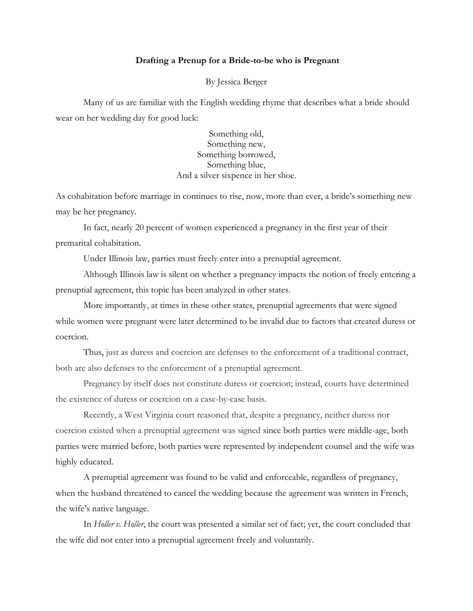## **Drafting a Prenup for a Bride-to-be who is Pregnant**

By Jessica Berger

Many of us are familiar with the English wedding rhyme that describes what a bride should wear on her wedding day for good luck:

> Something old, Something new, Something borrowed, Something blue, And a silver sixpence in her shoe.

As cohabitation before marriage in continues to rise, now, more than ever, a bride's something new may be her pregnancy.

In fact, nearly 20 percent of women experienced a pregnancy in the first year of their premarital cohabitation.

Under Illinois law, parties must freely enter into a prenuptial agreement.

Although Illinois law is silent on whether a pregnancy impacts the notion of freely entering a prenuptial agreement, this topic has been analyzed in other states.

More importantly, at times in these other states, prenuptial agreements that were signed while women were pregnant were later determined to be invalid due to factors that created duress or coercion.

Thus, just as duress and coercion are defenses to the enforcement of a traditional contract, both are also defenses to the enforcement of a prenuptial agreement.

Pregnancy by itself does not constitute duress or coercion; instead, courts have determined the existence of duress or coercion on a case-by-case basis.

Recently, a West Virginia court reasoned that, despite a pregnancy, neither duress nor coercion existed when a prenuptial agreement was signed since both parties were middle-age, both parties were married before, both parties were represented by independent counsel and the wife was highly educated.

A prenuptial agreement was found to be valid and enforceable, regardless of pregnancy, when the husband threatened to cancel the wedding because the agreement was written in French, the wife's native language.

In *Holler v. Holler*, the court was presented a similar set of fact; yet, the court concluded that the wife did not enter into a prenuptial agreement freely and voluntarily.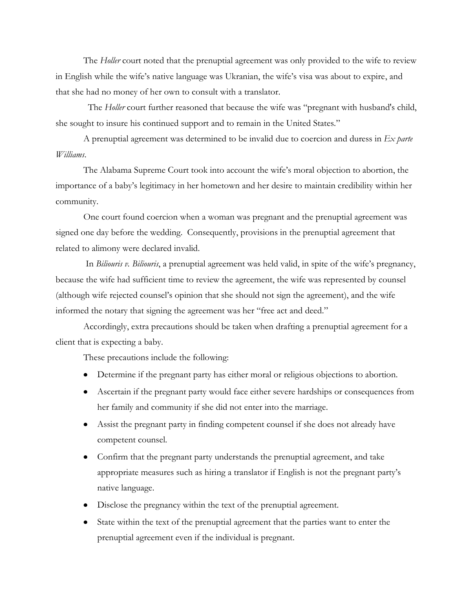The *Holler* court noted that the prenuptial agreement was only provided to the wife to review in English while the wife's native language was Ukranian, the wife's visa was about to expire, and that she had no money of her own to consult with a translator.

 The *Holler* court further reasoned that because the wife was "pregnant with husband's child, she sought to insure his continued support and to remain in the United States."

A prenuptial agreement was determined to be invalid due to coercion and duress in *Ex parte Williams*.

The Alabama Supreme Court took into account the wife's moral objection to abortion, the importance of a baby's legitimacy in her hometown and her desire to maintain credibility within her community.

One court found coercion when a woman was pregnant and the prenuptial agreement was signed one day before the wedding. Consequently, provisions in the prenuptial agreement that related to alimony were declared invalid.

In *Biliouris v. Biliouris*, a prenuptial agreement was held valid, in spite of the wife's pregnancy, because the wife had sufficient time to review the agreement, the wife was represented by counsel (although wife rejected counsel's opinion that she should not sign the agreement), and the wife informed the notary that signing the agreement was her "free act and deed."

Accordingly, extra precautions should be taken when drafting a prenuptial agreement for a client that is expecting a baby.

These precautions include the following:

- Determine if the pregnant party has either moral or religious objections to abortion.
- Ascertain if the pregnant party would face either severe hardships or consequences from her family and community if she did not enter into the marriage.
- Assist the pregnant party in finding competent counsel if she does not already have competent counsel.
- Confirm that the pregnant party understands the prenuptial agreement, and take appropriate measures such as hiring a translator if English is not the pregnant party's native language.
- Disclose the pregnancy within the text of the prenuptial agreement.
- State within the text of the prenuptial agreement that the parties want to enter the prenuptial agreement even if the individual is pregnant.